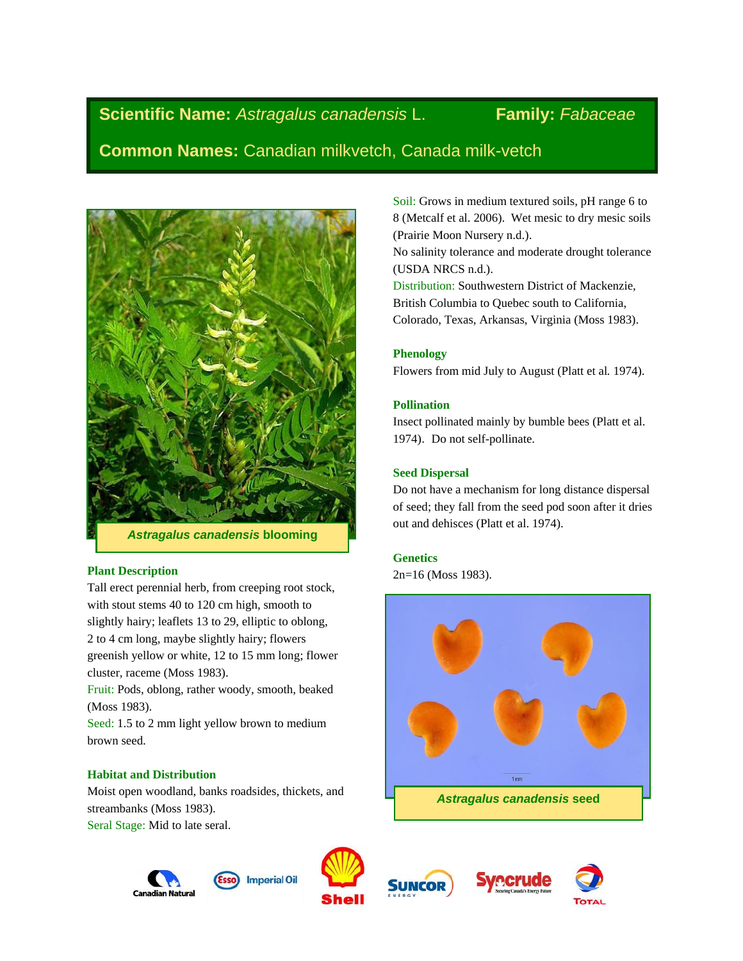# **Scientific Name:** *Astragalus canadensis* L. **Family:** *Fabaceae*

**Common Names:** Canadian milkvetch, Canada milk-vetch



# **Plant Description**

Tall erect perennial herb, from creeping root stock, with stout stems 40 to 120 cm high, smooth to slightly hairy; leaflets 13 to 29, elliptic to oblong, 2 to 4 cm long, maybe slightly hairy; flowers greenish yellow or white, 12 to 15 mm long; flower cluster, raceme (Moss 1983).

Fruit: Pods, oblong, rather woody, smooth, beaked (Moss 1983).

Seed: 1.5 to 2 mm light yellow brown to medium brown seed.

# **Habitat and Distribution**

Moist open woodland, banks roadsides, thickets, and streambanks (Moss 1983).

Seral Stage: Mid to late seral.

Canadian Natura











Soil: Grows in medium textured soils, pH range 6 to 8 (Metcalf et al. 2006). Wet mesic to dry mesic soils (Prairie Moon Nursery n.d.).

No salinity tolerance and moderate drought tolerance (USDA NRCS n.d.).

Distribution: Southwestern District of Mackenzie, British Columbia to Quebec south to California, Colorado, Texas, Arkansas, Virginia (Moss 1983).

# **Phenology**

Flowers from mid July to August (Platt et al*.* 1974).

# **Pollination**

Insect pollinated mainly by bumble bees (Platt et al. 1974). Do not self-pollinate.

# **Seed Dispersal**

Do not have a mechanism for long distance dispersal of seed; they fall from the seed pod soon after it dries out and dehisces (Platt et al. 1974).

# **Genetics**

2n=16 (Moss 1983).

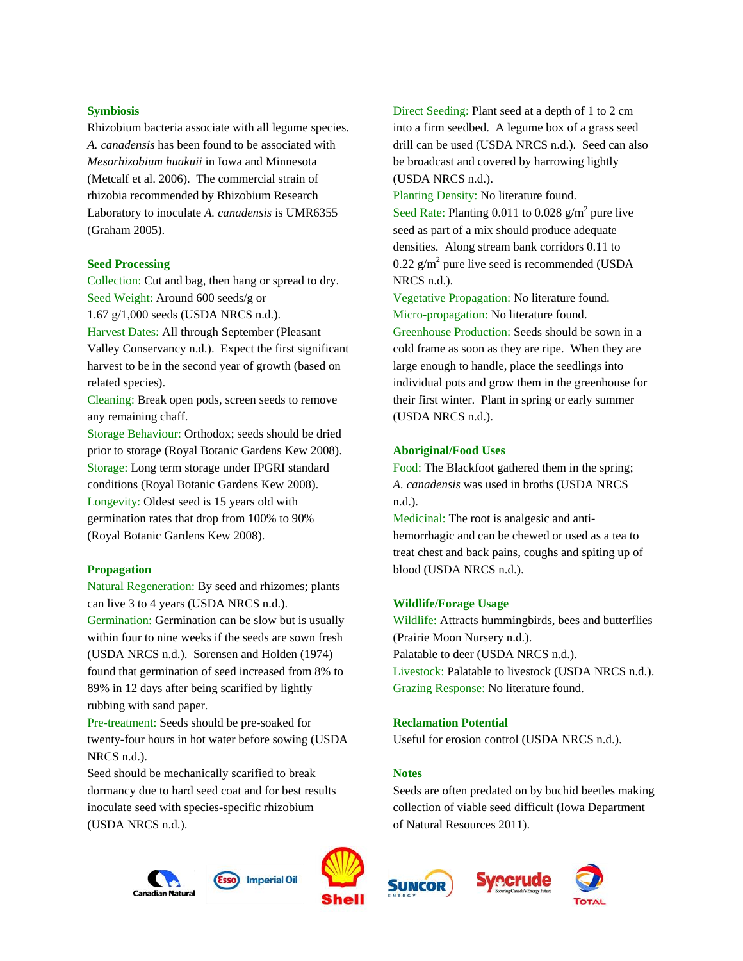#### **Symbiosis**

Rhizobium bacteria associate with all legume species. *A. canadensis* has been found to be associated with *Mesorhizobium huakuii* in Iowa and Minnesota (Metcalf et al. 2006). The commercial strain of rhizobia recommended by Rhizobium Research Laboratory to inoculate *A. canadensis* is UMR6355 (Graham 2005).

#### **Seed Processing**

Collection: Cut and bag, then hang or spread to dry. Seed Weight: Around 600 seeds/g or 1.67 g/1,000 seeds (USDA NRCS n.d.). Harvest Dates: All through September (Pleasant Valley Conservancy n.d.). Expect the first significant harvest to be in the second year of growth (based on

related species). Cleaning: Break open pods, screen seeds to remove

any remaining chaff. Storage Behaviour: Orthodox; seeds should be dried prior to storage (Royal Botanic Gardens Kew 2008). Storage: Long term storage under IPGRI standard conditions (Royal Botanic Gardens Kew 2008). Longevity: Oldest seed is 15 years old with germination rates that drop from 100% to 90% (Royal Botanic Gardens Kew 2008).

#### **Propagation**

Natural Regeneration: By seed and rhizomes; plants can live 3 to 4 years (USDA NRCS n.d.). Germination: Germination can be slow but is usually within four to nine weeks if the seeds are sown fresh (USDA NRCS n.d.). Sorensen and Holden (1974) found that germination of seed increased from 8% to 89% in 12 days after being scarified by lightly rubbing with sand paper.

Pre-treatment: Seeds should be pre-soaked for twenty-four hours in hot water before sowing (USDA NRCS n.d.).

Seed should be mechanically scarified to break dormancy due to hard seed coat and for best results inoculate seed with species-specific rhizobium (USDA NRCS n.d.).





**Imperial Oil** 

Direct Seeding: Plant seed at a depth of 1 to 2 cm into a firm seedbed. A legume box of a grass seed drill can be used (USDA NRCS n.d.). Seed can also be broadcast and covered by harrowing lightly (USDA NRCS n.d.).

Planting Density: No literature found. Seed Rate: Planting 0.011 to 0.028  $g/m^2$  pure live seed as part of a mix should produce adequate densities. Along stream bank corridors 0.11 to  $0.22$  g/m<sup>2</sup> pure live seed is recommended (USDA NRCS n.d.).

Vegetative Propagation: No literature found. Micro-propagation: No literature found. Greenhouse Production: Seeds should be sown in a cold frame as soon as they are ripe. When they are large enough to handle, place the seedlings into individual pots and grow them in the greenhouse for their first winter. Plant in spring or early summer (USDA NRCS n.d.).

#### **Aboriginal/Food Uses**

Food: The Blackfoot gathered them in the spring; *A. canadensis* was used in broths (USDA NRCS n.d.).

Medicinal: The root is analgesic and antihemorrhagic and can be chewed or used as a tea to treat chest and back pains, coughs and spiting up of blood (USDA NRCS n.d.).

#### **Wildlife/Forage Usage**

Wildlife: Attracts hummingbirds, bees and butterflies (Prairie Moon Nursery n.d.). Palatable to deer (USDA NRCS n.d.). Livestock: Palatable to livestock (USDA NRCS n.d.). Grazing Response: No literature found.

#### **Reclamation Potential**

Useful for erosion control (USDA NRCS n.d.).

## **Notes**

Seeds are often predated on by buchid beetles making collection of viable seed difficult (Iowa Department of Natural Resources 2011).